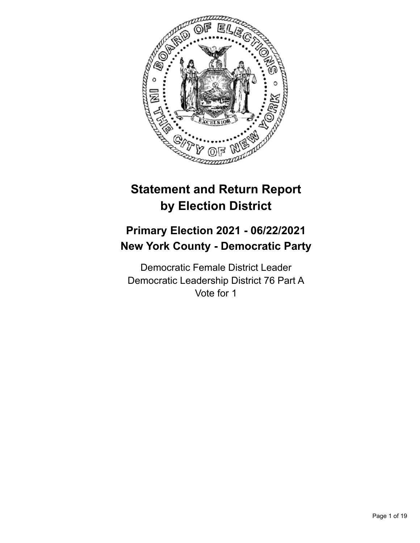

# **Statement and Return Report by Election District**

# **Primary Election 2021 - 06/22/2021 New York County - Democratic Party**

Democratic Female District Leader Democratic Leadership District 76 Part A Vote for 1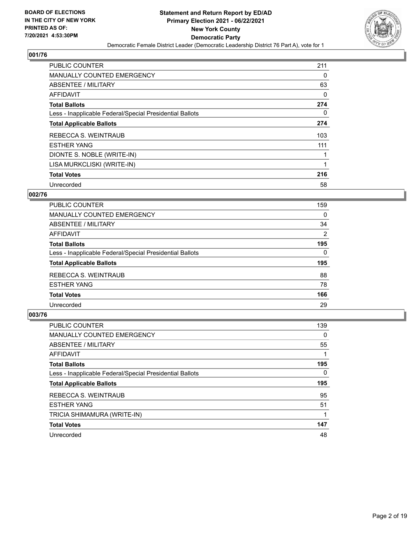

| PUBLIC COUNTER                                           | 211      |
|----------------------------------------------------------|----------|
| <b>MANUALLY COUNTED EMERGENCY</b>                        | $\Omega$ |
| ABSENTEE / MILITARY                                      | 63       |
| <b>AFFIDAVIT</b>                                         | 0        |
| <b>Total Ballots</b>                                     | 274      |
| Less - Inapplicable Federal/Special Presidential Ballots | $\Omega$ |
| <b>Total Applicable Ballots</b>                          | 274      |
| REBECCA S. WEINTRAUB                                     | 103      |
| <b>ESTHER YANG</b>                                       | 111      |
| DIONTE S. NOBLE (WRITE-IN)                               | 1        |
| LISA MURKCLISKI (WRITE-IN)                               | 1        |
| <b>Total Votes</b>                                       | 216      |
| Unrecorded                                               | 58       |

## **002/76**

| 159      |
|----------|
| 0        |
| 34       |
| 2        |
| 195      |
| $\Omega$ |
| 195      |
| 88       |
| 78       |
| 166      |
| 29       |
|          |

| <b>PUBLIC COUNTER</b>                                    | 139      |
|----------------------------------------------------------|----------|
| <b>MANUALLY COUNTED EMERGENCY</b>                        | $\Omega$ |
| ABSENTEE / MILITARY                                      | 55       |
| <b>AFFIDAVIT</b>                                         |          |
| <b>Total Ballots</b>                                     | 195      |
| Less - Inapplicable Federal/Special Presidential Ballots | $\Omega$ |
| <b>Total Applicable Ballots</b>                          | 195      |
| REBECCA S. WEINTRAUB                                     | 95       |
| <b>ESTHER YANG</b>                                       | 51       |
| TRICIA SHIMAMURA (WRITE-IN)                              |          |
|                                                          |          |
| <b>Total Votes</b>                                       | 147      |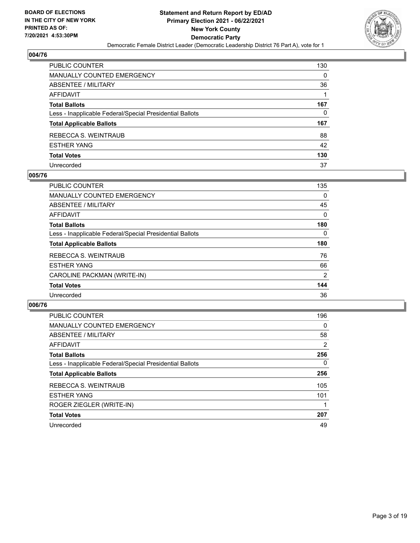

| PUBLIC COUNTER                                           | 130 |
|----------------------------------------------------------|-----|
| <b>MANUALLY COUNTED EMERGENCY</b>                        | 0   |
| ABSENTEE / MILITARY                                      | 36  |
| AFFIDAVIT                                                |     |
| <b>Total Ballots</b>                                     | 167 |
| Less - Inapplicable Federal/Special Presidential Ballots | 0   |
| <b>Total Applicable Ballots</b>                          | 167 |
| REBECCA S. WEINTRAUB                                     | 88  |
| <b>ESTHER YANG</b>                                       | 42  |
| <b>Total Votes</b>                                       | 130 |
| Unrecorded                                               | 37  |

## **005/76**

| <b>PUBLIC COUNTER</b>                                    | 135      |
|----------------------------------------------------------|----------|
| MANUALLY COUNTED EMERGENCY                               | 0        |
| ABSENTEE / MILITARY                                      | 45       |
| AFFIDAVIT                                                | $\Omega$ |
| <b>Total Ballots</b>                                     | 180      |
| Less - Inapplicable Federal/Special Presidential Ballots | 0        |
| <b>Total Applicable Ballots</b>                          | 180      |
| REBECCA S. WEINTRAUB                                     | 76       |
| <b>ESTHER YANG</b>                                       | 66       |
| CAROLINE PACKMAN (WRITE-IN)                              | 2        |
| <b>Total Votes</b>                                       | 144      |
| Unrecorded                                               | 36       |

| <b>PUBLIC COUNTER</b>                                    | 196      |
|----------------------------------------------------------|----------|
| <b>MANUALLY COUNTED EMERGENCY</b>                        | $\Omega$ |
| ABSENTEE / MILITARY                                      | 58       |
| AFFIDAVIT                                                | 2        |
| <b>Total Ballots</b>                                     | 256      |
| Less - Inapplicable Federal/Special Presidential Ballots | $\Omega$ |
| <b>Total Applicable Ballots</b>                          | 256      |
| REBECCA S. WEINTRAUB                                     | 105      |
| <b>ESTHER YANG</b>                                       | 101      |
| ROGER ZIEGLER (WRITE-IN)                                 |          |
| <b>Total Votes</b>                                       | 207      |
| Unrecorded                                               | 49       |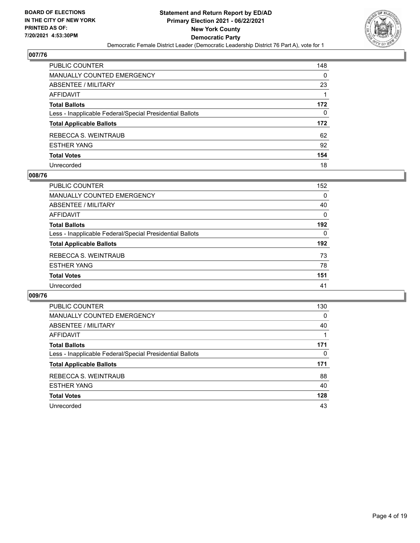

| PUBLIC COUNTER                                           | 148      |
|----------------------------------------------------------|----------|
| <b>MANUALLY COUNTED EMERGENCY</b>                        | $\Omega$ |
| <b>ABSENTEE / MILITARY</b>                               | 23       |
| <b>AFFIDAVIT</b>                                         |          |
| <b>Total Ballots</b>                                     | 172      |
| Less - Inapplicable Federal/Special Presidential Ballots | 0        |
| <b>Total Applicable Ballots</b>                          | 172      |
| REBECCA S. WEINTRAUB                                     | 62       |
| <b>ESTHER YANG</b>                                       | 92       |
| <b>Total Votes</b>                                       | 154      |
| Unrecorded                                               | 18       |

#### **008/76**

| PUBLIC COUNTER                                           | 152      |
|----------------------------------------------------------|----------|
| <b>MANUALLY COUNTED EMERGENCY</b>                        | $\Omega$ |
| ABSENTEE / MILITARY                                      | 40       |
| AFFIDAVIT                                                | $\Omega$ |
| <b>Total Ballots</b>                                     | 192      |
| Less - Inapplicable Federal/Special Presidential Ballots | $\Omega$ |
| <b>Total Applicable Ballots</b>                          | 192      |
| REBECCA S. WEINTRAUB                                     | 73       |
| <b>ESTHER YANG</b>                                       | 78       |
| <b>Total Votes</b>                                       | 151      |
| Unrecorded                                               | 41       |

| <b>PUBLIC COUNTER</b>                                    | 130      |
|----------------------------------------------------------|----------|
| MANUALLY COUNTED EMERGENCY                               | $\Omega$ |
| ABSENTEE / MILITARY                                      | 40       |
| AFFIDAVIT                                                |          |
| <b>Total Ballots</b>                                     | 171      |
| Less - Inapplicable Federal/Special Presidential Ballots | $\Omega$ |
| <b>Total Applicable Ballots</b>                          | 171      |
| REBECCA S. WEINTRAUB                                     | 88       |
| <b>ESTHER YANG</b>                                       | 40       |
| <b>Total Votes</b>                                       | 128      |
| Unrecorded                                               | 43       |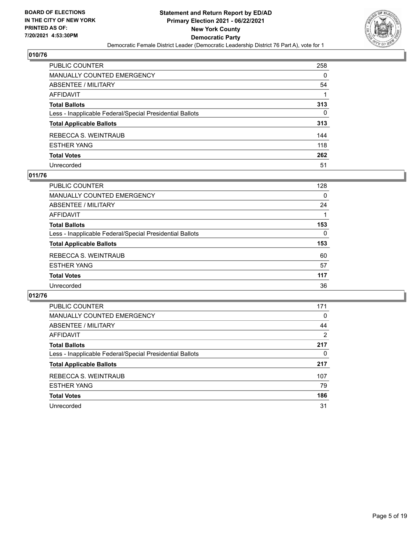

| PUBLIC COUNTER                                           | 258 |
|----------------------------------------------------------|-----|
| <b>MANUALLY COUNTED EMERGENCY</b>                        | 0   |
| <b>ABSENTEE / MILITARY</b>                               | 54  |
| <b>AFFIDAVIT</b>                                         |     |
| <b>Total Ballots</b>                                     | 313 |
| Less - Inapplicable Federal/Special Presidential Ballots | 0   |
| <b>Total Applicable Ballots</b>                          | 313 |
| REBECCA S. WEINTRAUB                                     | 144 |
| <b>ESTHER YANG</b>                                       | 118 |
| <b>Total Votes</b>                                       | 262 |
| Unrecorded                                               | 51  |

## **011/76**

| PUBLIC COUNTER                                           | 128      |
|----------------------------------------------------------|----------|
| <b>MANUALLY COUNTED EMERGENCY</b>                        | 0        |
| ABSENTEE / MILITARY                                      | 24       |
| AFFIDAVIT                                                |          |
| <b>Total Ballots</b>                                     | 153      |
| Less - Inapplicable Federal/Special Presidential Ballots | $\Omega$ |
| <b>Total Applicable Ballots</b>                          | 153      |
| REBECCA S. WEINTRAUB                                     | 60       |
| <b>ESTHER YANG</b>                                       | 57       |
| <b>Total Votes</b>                                       | 117      |
| Unrecorded                                               | 36       |

| PUBLIC COUNTER                                           | 171 |
|----------------------------------------------------------|-----|
| <b>MANUALLY COUNTED EMERGENCY</b>                        | 0   |
| ABSENTEE / MILITARY                                      | 44  |
| AFFIDAVIT                                                | 2   |
| <b>Total Ballots</b>                                     | 217 |
| Less - Inapplicable Federal/Special Presidential Ballots | 0   |
| <b>Total Applicable Ballots</b>                          | 217 |
| REBECCA S. WEINTRAUB                                     | 107 |
| <b>ESTHER YANG</b>                                       | 79  |
| <b>Total Votes</b>                                       | 186 |
| Unrecorded                                               | 31  |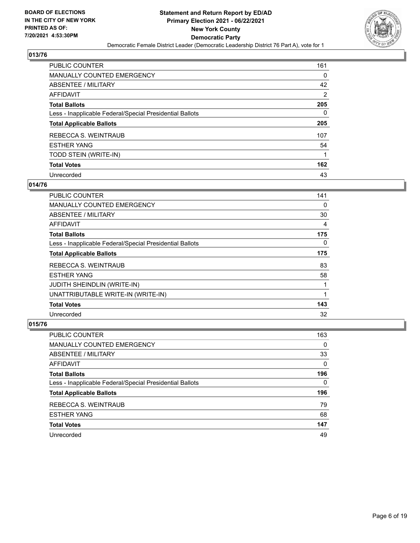

| <b>PUBLIC COUNTER</b>                                    | 161            |
|----------------------------------------------------------|----------------|
| <b>MANUALLY COUNTED EMERGENCY</b>                        | 0              |
| ABSENTEE / MILITARY                                      | 42             |
| AFFIDAVIT                                                | $\overline{2}$ |
| <b>Total Ballots</b>                                     | 205            |
| Less - Inapplicable Federal/Special Presidential Ballots | 0              |
| <b>Total Applicable Ballots</b>                          | 205            |
| REBECCA S. WEINTRAUB                                     | 107            |
| <b>ESTHER YANG</b>                                       | 54             |
| TODD STEIN (WRITE-IN)                                    |                |
| <b>Total Votes</b>                                       | 162            |
| Unrecorded                                               | 43             |

## **014/76**

| PUBLIC COUNTER                                           | 141      |
|----------------------------------------------------------|----------|
| <b>MANUALLY COUNTED EMERGENCY</b>                        | 0        |
| ABSENTEE / MILITARY                                      | 30       |
| AFFIDAVIT                                                | 4        |
| <b>Total Ballots</b>                                     | 175      |
| Less - Inapplicable Federal/Special Presidential Ballots | $\Omega$ |
| <b>Total Applicable Ballots</b>                          | 175      |
| REBECCA S. WEINTRAUB                                     | 83       |
| <b>ESTHER YANG</b>                                       | 58       |
| JUDITH SHEINDLIN (WRITE-IN)                              |          |
| UNATTRIBUTABLE WRITE-IN (WRITE-IN)                       | 1        |
| <b>Total Votes</b>                                       | 143      |
| Unrecorded                                               | 32       |

| PUBLIC COUNTER                                           | 163      |
|----------------------------------------------------------|----------|
| <b>MANUALLY COUNTED EMERGENCY</b>                        | $\Omega$ |
| ABSENTEE / MILITARY                                      | 33       |
| AFFIDAVIT                                                | $\Omega$ |
| <b>Total Ballots</b>                                     | 196      |
| Less - Inapplicable Federal/Special Presidential Ballots | 0        |
| <b>Total Applicable Ballots</b>                          | 196      |
| REBECCA S. WEINTRAUB                                     | 79       |
| <b>ESTHER YANG</b>                                       | 68       |
| <b>Total Votes</b>                                       | 147      |
| Unrecorded                                               | 49       |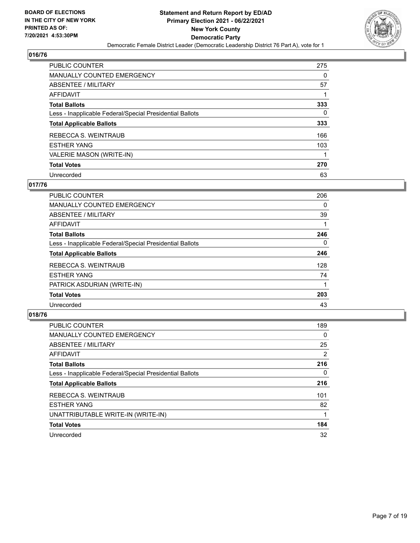

| <b>PUBLIC COUNTER</b>                                    | 275 |
|----------------------------------------------------------|-----|
| <b>MANUALLY COUNTED EMERGENCY</b>                        | 0   |
| ABSENTEE / MILITARY                                      | 57  |
| AFFIDAVIT                                                |     |
| <b>Total Ballots</b>                                     | 333 |
| Less - Inapplicable Federal/Special Presidential Ballots | 0   |
| <b>Total Applicable Ballots</b>                          | 333 |
| REBECCA S. WEINTRAUB                                     | 166 |
| <b>ESTHER YANG</b>                                       | 103 |
| VALERIE MASON (WRITE-IN)                                 |     |
| <b>Total Votes</b>                                       | 270 |
| Unrecorded                                               | 63  |

## **017/76**

| PUBLIC COUNTER                                           | 206      |
|----------------------------------------------------------|----------|
| <b>MANUALLY COUNTED EMERGENCY</b>                        | 0        |
| ABSENTEE / MILITARY                                      | 39       |
| <b>AFFIDAVIT</b>                                         |          |
| <b>Total Ballots</b>                                     | 246      |
| Less - Inapplicable Federal/Special Presidential Ballots | $\Omega$ |
| <b>Total Applicable Ballots</b>                          | 246      |
| REBECCA S. WEINTRAUB                                     | 128      |
| <b>ESTHER YANG</b>                                       | 74       |
| PATRICK ASDURIAN (WRITE-IN)                              |          |
| <b>Total Votes</b>                                       | 203      |
| Unrecorded                                               | 43       |

| <b>PUBLIC COUNTER</b>                                    | 189      |
|----------------------------------------------------------|----------|
| MANUALLY COUNTED EMERGENCY                               | $\Omega$ |
| ABSENTEE / MILITARY                                      | 25       |
| AFFIDAVIT                                                | 2        |
| <b>Total Ballots</b>                                     | 216      |
| Less - Inapplicable Federal/Special Presidential Ballots | $\Omega$ |
| <b>Total Applicable Ballots</b>                          | 216      |
| REBECCA S. WEINTRAUB                                     | 101      |
| <b>ESTHER YANG</b>                                       | 82       |
| UNATTRIBUTABLE WRITE-IN (WRITE-IN)                       |          |
| <b>Total Votes</b>                                       | 184      |
| Unrecorded                                               | 32       |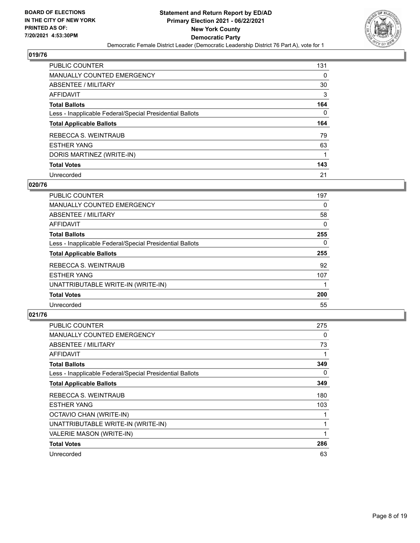

| <b>PUBLIC COUNTER</b>                                    | 131 |
|----------------------------------------------------------|-----|
| <b>MANUALLY COUNTED EMERGENCY</b>                        | 0   |
| ABSENTEE / MILITARY                                      | 30  |
| AFFIDAVIT                                                | 3   |
| <b>Total Ballots</b>                                     | 164 |
| Less - Inapplicable Federal/Special Presidential Ballots | 0   |
|                                                          |     |
| <b>Total Applicable Ballots</b>                          | 164 |
| REBECCA S. WEINTRAUB                                     | 79  |
| <b>ESTHER YANG</b>                                       | 63  |
| DORIS MARTINEZ (WRITE-IN)                                | 1   |
| <b>Total Votes</b>                                       | 143 |

#### **020/76**

| <b>PUBLIC COUNTER</b>                                    | 197      |
|----------------------------------------------------------|----------|
| <b>MANUALLY COUNTED EMERGENCY</b>                        | 0        |
| ABSENTEE / MILITARY                                      | 58       |
| <b>AFFIDAVIT</b>                                         | 0        |
| <b>Total Ballots</b>                                     | 255      |
| Less - Inapplicable Federal/Special Presidential Ballots | $\Omega$ |
| <b>Total Applicable Ballots</b>                          | 255      |
| REBECCA S. WEINTRAUB                                     | 92       |
| <b>ESTHER YANG</b>                                       | 107      |
| UNATTRIBUTABLE WRITE-IN (WRITE-IN)                       |          |
| <b>Total Votes</b>                                       | 200      |
| Unrecorded                                               | 55       |

| <b>PUBLIC COUNTER</b>                                    | 275 |
|----------------------------------------------------------|-----|
| MANUALLY COUNTED EMERGENCY                               | 0   |
| ABSENTEE / MILITARY                                      | 73  |
| AFFIDAVIT                                                | 1   |
| <b>Total Ballots</b>                                     | 349 |
| Less - Inapplicable Federal/Special Presidential Ballots | 0   |
| <b>Total Applicable Ballots</b>                          | 349 |
| REBECCA S. WEINTRAUB                                     | 180 |
| <b>ESTHER YANG</b>                                       | 103 |
| OCTAVIO CHAN (WRITE-IN)                                  | 1   |
| UNATTRIBUTABLE WRITE-IN (WRITE-IN)                       | 1   |
| VALERIE MASON (WRITE-IN)                                 | 1   |
| <b>Total Votes</b>                                       | 286 |
| Unrecorded                                               | 63  |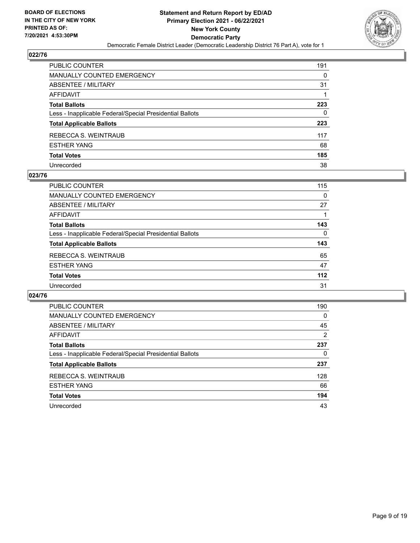

| PUBLIC COUNTER                                           | 191 |
|----------------------------------------------------------|-----|
| <b>MANUALLY COUNTED EMERGENCY</b>                        | 0   |
| <b>ABSENTEE / MILITARY</b>                               | 31  |
| AFFIDAVIT                                                |     |
| <b>Total Ballots</b>                                     | 223 |
| Less - Inapplicable Federal/Special Presidential Ballots | 0   |
| <b>Total Applicable Ballots</b>                          | 223 |
| REBECCA S. WEINTRAUB                                     | 117 |
| <b>ESTHER YANG</b>                                       | 68  |
| <b>Total Votes</b>                                       | 185 |
| Unrecorded                                               | 38  |

## **023/76**

| PUBLIC COUNTER                                           | 115      |
|----------------------------------------------------------|----------|
| <b>MANUALLY COUNTED EMERGENCY</b>                        | 0        |
| ABSENTEE / MILITARY                                      | 27       |
| AFFIDAVIT                                                |          |
| <b>Total Ballots</b>                                     | 143      |
| Less - Inapplicable Federal/Special Presidential Ballots | $\Omega$ |
| <b>Total Applicable Ballots</b>                          | 143      |
| REBECCA S. WEINTRAUB                                     | 65       |
| <b>ESTHER YANG</b>                                       | 47       |
| <b>Total Votes</b>                                       | 112      |
| Unrecorded                                               | 31       |

| PUBLIC COUNTER                                           | 190      |
|----------------------------------------------------------|----------|
| <b>MANUALLY COUNTED EMERGENCY</b>                        | $\Omega$ |
| ABSENTEE / MILITARY                                      | 45       |
| <b>AFFIDAVIT</b>                                         | 2        |
| <b>Total Ballots</b>                                     | 237      |
| Less - Inapplicable Federal/Special Presidential Ballots | 0        |
| <b>Total Applicable Ballots</b>                          | 237      |
| REBECCA S. WEINTRAUB                                     | 128      |
| <b>ESTHER YANG</b>                                       | 66       |
| <b>Total Votes</b>                                       | 194      |
| Unrecorded                                               | 43       |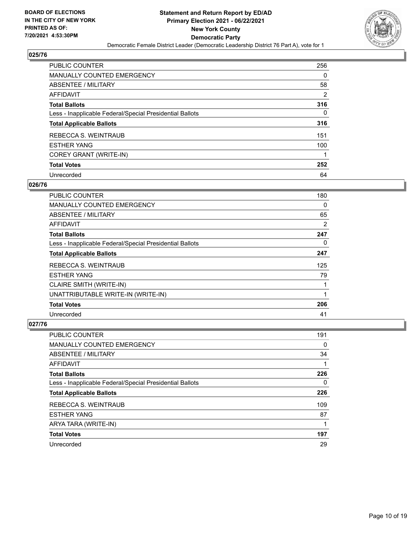

| <b>PUBLIC COUNTER</b>                                    | 256      |
|----------------------------------------------------------|----------|
| MANUALLY COUNTED EMERGENCY                               | $\Omega$ |
| ABSENTEE / MILITARY                                      | 58       |
| AFFIDAVIT                                                | 2        |
| <b>Total Ballots</b>                                     | 316      |
| Less - Inapplicable Federal/Special Presidential Ballots | 0        |
| <b>Total Applicable Ballots</b>                          | 316      |
| REBECCA S. WEINTRAUB                                     | 151      |
| <b>ESTHER YANG</b>                                       | 100      |
| COREY GRANT (WRITE-IN)                                   | 1        |
| <b>Total Votes</b>                                       | 252      |
| Unrecorded                                               | 64       |

## **026/76**

| PUBLIC COUNTER                                           | 180 |
|----------------------------------------------------------|-----|
| <b>MANUALLY COUNTED EMERGENCY</b>                        | 0   |
| <b>ABSENTEE / MILITARY</b>                               | 65  |
| <b>AFFIDAVIT</b>                                         | 2   |
| <b>Total Ballots</b>                                     | 247 |
| Less - Inapplicable Federal/Special Presidential Ballots | 0   |
| <b>Total Applicable Ballots</b>                          | 247 |
| REBECCA S. WEINTRAUB                                     | 125 |
| <b>ESTHER YANG</b>                                       | 79  |
| CLAIRE SMITH (WRITE-IN)                                  |     |
| UNATTRIBUTABLE WRITE-IN (WRITE-IN)                       |     |
| <b>Total Votes</b>                                       | 206 |
| Unrecorded                                               | 41  |

| <b>PUBLIC COUNTER</b>                                    | 191      |
|----------------------------------------------------------|----------|
| <b>MANUALLY COUNTED EMERGENCY</b>                        | $\Omega$ |
| ABSENTEE / MILITARY                                      | 34       |
| AFFIDAVIT                                                |          |
| <b>Total Ballots</b>                                     | 226      |
| Less - Inapplicable Federal/Special Presidential Ballots | 0        |
| <b>Total Applicable Ballots</b>                          | 226      |
| REBECCA S. WEINTRAUB                                     | 109      |
| <b>ESTHER YANG</b>                                       | 87       |
| ARYA TARA (WRITE-IN)                                     |          |
| <b>Total Votes</b>                                       | 197      |
| Unrecorded                                               | 29       |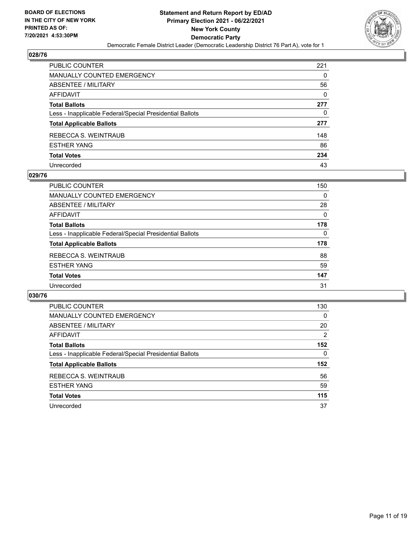

| PUBLIC COUNTER                                           | 221      |
|----------------------------------------------------------|----------|
| <b>MANUALLY COUNTED EMERGENCY</b>                        | 0        |
| <b>ABSENTEE / MILITARY</b>                               | 56       |
| <b>AFFIDAVIT</b>                                         | $\Omega$ |
| <b>Total Ballots</b>                                     | 277      |
| Less - Inapplicable Federal/Special Presidential Ballots | 0        |
| <b>Total Applicable Ballots</b>                          | 277      |
| REBECCA S. WEINTRAUB                                     | 148      |
| <b>ESTHER YANG</b>                                       | 86       |
| <b>Total Votes</b>                                       | 234      |
| Unrecorded                                               | 43       |

#### **029/76**

| <b>PUBLIC COUNTER</b>                                    | 150      |
|----------------------------------------------------------|----------|
| MANUALLY COUNTED EMERGENCY                               | 0        |
| ABSENTEE / MILITARY                                      | 28       |
| AFFIDAVIT                                                | $\Omega$ |
| <b>Total Ballots</b>                                     | 178      |
| Less - Inapplicable Federal/Special Presidential Ballots | $\Omega$ |
| <b>Total Applicable Ballots</b>                          | 178      |
| REBECCA S. WEINTRAUB                                     | 88       |
| <b>ESTHER YANG</b>                                       | 59       |
| <b>Total Votes</b>                                       | 147      |
| Unrecorded                                               | 31       |

| PUBLIC COUNTER                                           | 130 |
|----------------------------------------------------------|-----|
| <b>MANUALLY COUNTED EMERGENCY</b>                        | 0   |
| ABSENTEE / MILITARY                                      | 20  |
| <b>AFFIDAVIT</b>                                         | 2   |
| <b>Total Ballots</b>                                     | 152 |
| Less - Inapplicable Federal/Special Presidential Ballots | 0   |
| <b>Total Applicable Ballots</b>                          | 152 |
| REBECCA S. WEINTRAUB                                     | 56  |
| <b>ESTHER YANG</b>                                       | 59  |
| <b>Total Votes</b>                                       | 115 |
| Unrecorded                                               | 37  |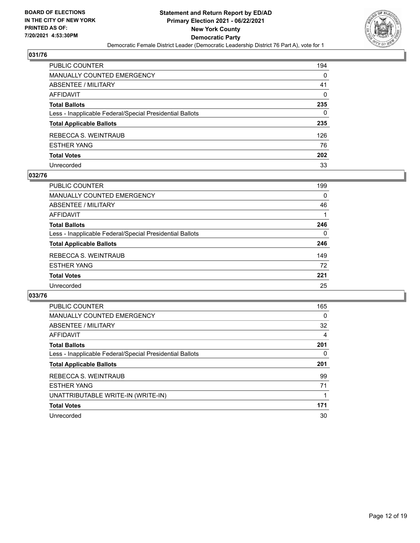

| PUBLIC COUNTER                                           | 194      |
|----------------------------------------------------------|----------|
| <b>MANUALLY COUNTED EMERGENCY</b>                        | 0        |
| ABSENTEE / MILITARY                                      | 41       |
| AFFIDAVIT                                                | $\Omega$ |
| <b>Total Ballots</b>                                     | 235      |
| Less - Inapplicable Federal/Special Presidential Ballots | 0        |
| <b>Total Applicable Ballots</b>                          | 235      |
| REBECCA S. WEINTRAUB                                     | 126      |
| <b>ESTHER YANG</b>                                       | 76       |
| <b>Total Votes</b>                                       | 202      |
| Unrecorded                                               | 33       |

## **032/76**

| <b>PUBLIC COUNTER</b>                                    | 199      |
|----------------------------------------------------------|----------|
| MANUALLY COUNTED EMERGENCY                               | 0        |
| ABSENTEE / MILITARY                                      | 46       |
| AFFIDAVIT                                                |          |
| <b>Total Ballots</b>                                     | 246      |
| Less - Inapplicable Federal/Special Presidential Ballots | $\Omega$ |
| <b>Total Applicable Ballots</b>                          | 246      |
| REBECCA S. WEINTRAUB                                     | 149      |
| <b>ESTHER YANG</b>                                       | 72       |
| <b>Total Votes</b>                                       | 221      |
| Unrecorded                                               | 25       |

| PUBLIC COUNTER                                           | 165 |
|----------------------------------------------------------|-----|
| <b>MANUALLY COUNTED EMERGENCY</b>                        | 0   |
| ABSENTEE / MILITARY                                      | 32  |
| <b>AFFIDAVIT</b>                                         | 4   |
| <b>Total Ballots</b>                                     | 201 |
| Less - Inapplicable Federal/Special Presidential Ballots | 0   |
| <b>Total Applicable Ballots</b>                          | 201 |
| REBECCA S. WEINTRAUB                                     | 99  |
| <b>ESTHER YANG</b>                                       | 71  |
| UNATTRIBUTABLE WRITE-IN (WRITE-IN)                       |     |
| <b>Total Votes</b>                                       | 171 |
| Unrecorded                                               | 30  |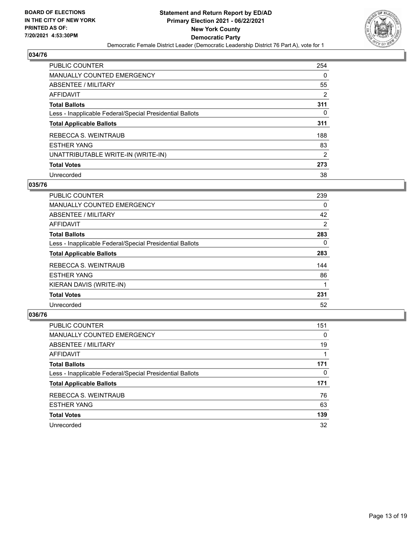

| <b>PUBLIC COUNTER</b>                                    | 254            |
|----------------------------------------------------------|----------------|
| <b>MANUALLY COUNTED EMERGENCY</b>                        | 0              |
| ABSENTEE / MILITARY                                      | 55             |
| AFFIDAVIT                                                | 2              |
| <b>Total Ballots</b>                                     | 311            |
| Less - Inapplicable Federal/Special Presidential Ballots | 0              |
| <b>Total Applicable Ballots</b>                          | 311            |
| REBECCA S. WEINTRAUB                                     | 188            |
| <b>ESTHER YANG</b>                                       | 83             |
| UNATTRIBUTABLE WRITE-IN (WRITE-IN)                       | $\overline{2}$ |
| <b>Total Votes</b>                                       | 273            |
| Unrecorded                                               | 38             |

## **035/76**

| <b>PUBLIC COUNTER</b>                                    | 239            |
|----------------------------------------------------------|----------------|
| <b>MANUALLY COUNTED EMERGENCY</b>                        | $\Omega$       |
| ABSENTEE / MILITARY                                      | 42             |
| AFFIDAVIT                                                | $\overline{2}$ |
| <b>Total Ballots</b>                                     | 283            |
| Less - Inapplicable Federal/Special Presidential Ballots | $\Omega$       |
| <b>Total Applicable Ballots</b>                          | 283            |
| <b>REBECCA S. WEINTRAUB</b>                              | 144            |
| <b>ESTHER YANG</b>                                       | 86             |
| KIERAN DAVIS (WRITE-IN)                                  |                |
| <b>Total Votes</b>                                       | 231            |
| Unrecorded                                               | 52             |

| <b>PUBLIC COUNTER</b>                                    | 151      |
|----------------------------------------------------------|----------|
| <b>MANUALLY COUNTED EMERGENCY</b>                        | $\Omega$ |
| ABSENTEE / MILITARY                                      | 19       |
| AFFIDAVIT                                                |          |
| <b>Total Ballots</b>                                     | 171      |
| Less - Inapplicable Federal/Special Presidential Ballots | 0        |
| <b>Total Applicable Ballots</b>                          | 171      |
| REBECCA S. WEINTRAUB                                     | 76       |
| <b>ESTHER YANG</b>                                       | 63       |
| <b>Total Votes</b>                                       | 139      |
| Unrecorded                                               | 32       |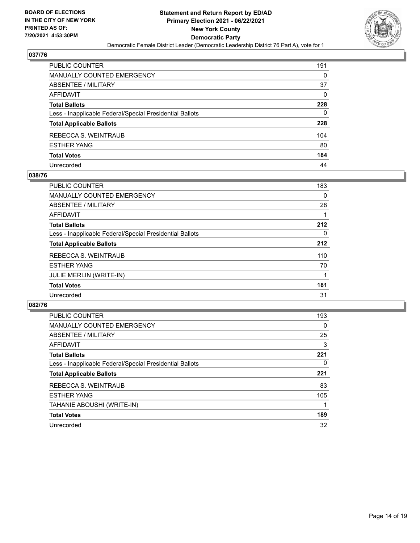

| PUBLIC COUNTER                                           | 191          |
|----------------------------------------------------------|--------------|
| <b>MANUALLY COUNTED EMERGENCY</b>                        | $\Omega$     |
| ABSENTEE / MILITARY                                      | 37           |
| AFFIDAVIT                                                | $\Omega$     |
| <b>Total Ballots</b>                                     | 228          |
| Less - Inapplicable Federal/Special Presidential Ballots | $\mathbf{0}$ |
| <b>Total Applicable Ballots</b>                          | 228          |
| REBECCA S. WEINTRAUB                                     | 104          |
| <b>ESTHER YANG</b>                                       | 80           |
| <b>Total Votes</b>                                       | 184          |
| Unrecorded                                               | 44           |

## **038/76**

| <b>PUBLIC COUNTER</b>                                    | 183 |
|----------------------------------------------------------|-----|
| MANUALLY COUNTED EMERGENCY                               | 0   |
| ABSENTEE / MILITARY                                      | 28  |
| AFFIDAVIT                                                |     |
| <b>Total Ballots</b>                                     | 212 |
| Less - Inapplicable Federal/Special Presidential Ballots | 0   |
| <b>Total Applicable Ballots</b>                          | 212 |
| REBECCA S. WEINTRAUB                                     | 110 |
| <b>ESTHER YANG</b>                                       | 70  |
| <b>JULIE MERLIN (WRITE-IN)</b>                           |     |
| <b>Total Votes</b>                                       | 181 |
| Unrecorded                                               | 31  |

| <b>PUBLIC COUNTER</b>                                    | 193      |
|----------------------------------------------------------|----------|
| <b>MANUALLY COUNTED EMERGENCY</b>                        | $\Omega$ |
| ABSENTEE / MILITARY                                      | 25       |
| AFFIDAVIT                                                | 3        |
| <b>Total Ballots</b>                                     | 221      |
| Less - Inapplicable Federal/Special Presidential Ballots | $\Omega$ |
| <b>Total Applicable Ballots</b>                          | 221      |
| REBECCA S. WEINTRAUB                                     | 83       |
| <b>ESTHER YANG</b>                                       | 105      |
| TAHANIE ABOUSHI (WRITE-IN)                               |          |
| <b>Total Votes</b>                                       | 189      |
| Unrecorded                                               | 32       |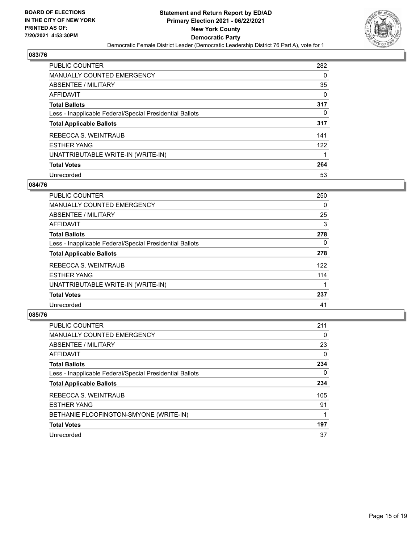

| <b>PUBLIC COUNTER</b>                                    | 282 |
|----------------------------------------------------------|-----|
| <b>MANUALLY COUNTED EMERGENCY</b>                        | 0   |
| <b>ABSENTEE / MILITARY</b>                               | 35  |
| AFFIDAVIT                                                | 0   |
| <b>Total Ballots</b>                                     | 317 |
| Less - Inapplicable Federal/Special Presidential Ballots | 0   |
| <b>Total Applicable Ballots</b>                          | 317 |
| REBECCA S. WEINTRAUB                                     | 141 |
| <b>ESTHER YANG</b>                                       | 122 |
| UNATTRIBUTABLE WRITE-IN (WRITE-IN)                       |     |
| <b>Total Votes</b>                                       | 264 |
| Unrecorded                                               | 53  |

#### **084/76**

| <b>PUBLIC COUNTER</b>                                    | 250      |
|----------------------------------------------------------|----------|
| <b>MANUALLY COUNTED EMERGENCY</b>                        | 0        |
| ABSENTEE / MILITARY                                      | 25       |
| <b>AFFIDAVIT</b>                                         | 3        |
| <b>Total Ballots</b>                                     | 278      |
| Less - Inapplicable Federal/Special Presidential Ballots | $\Omega$ |
| <b>Total Applicable Ballots</b>                          | 278      |
| REBECCA S. WEINTRAUB                                     | 122      |
| <b>ESTHER YANG</b>                                       | 114      |
| UNATTRIBUTABLE WRITE-IN (WRITE-IN)                       |          |
| <b>Total Votes</b>                                       | 237      |
| Unrecorded                                               | 41       |

| <b>PUBLIC COUNTER</b>                                    | 211      |
|----------------------------------------------------------|----------|
| <b>MANUALLY COUNTED EMERGENCY</b>                        | 0        |
| ABSENTEE / MILITARY                                      | 23       |
| AFFIDAVIT                                                | $\Omega$ |
| <b>Total Ballots</b>                                     | 234      |
| Less - Inapplicable Federal/Special Presidential Ballots | 0        |
| <b>Total Applicable Ballots</b>                          | 234      |
| REBECCA S. WEINTRAUB                                     | 105      |
| <b>ESTHER YANG</b>                                       | 91       |
| BETHANIE FLOOFINGTON-SMYONE (WRITE-IN)                   |          |
| <b>Total Votes</b>                                       | 197      |
| Unrecorded                                               | 37       |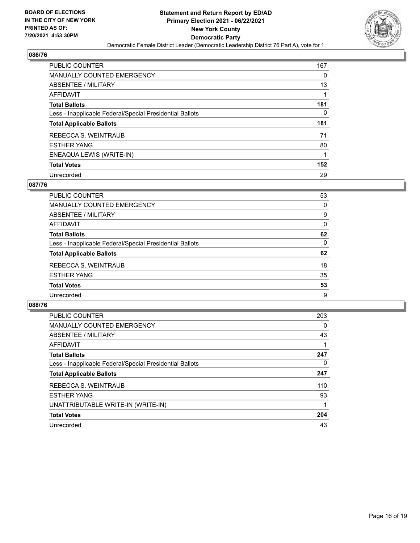

| <b>PUBLIC COUNTER</b>                                    | 167 |
|----------------------------------------------------------|-----|
| <b>MANUALLY COUNTED EMERGENCY</b>                        | 0   |
| ABSENTEE / MILITARY                                      | 13  |
| AFFIDAVIT                                                |     |
| <b>Total Ballots</b>                                     | 181 |
| Less - Inapplicable Federal/Special Presidential Ballots | 0   |
|                                                          |     |
| <b>Total Applicable Ballots</b>                          | 181 |
| REBECCA S. WEINTRAUB                                     | 71  |
| <b>ESTHER YANG</b>                                       | 80  |
| ENEAQUA LEWIS (WRITE-IN)                                 | 1   |
| <b>Total Votes</b>                                       | 152 |

#### **087/76**

| PUBLIC COUNTER                                           | 53       |
|----------------------------------------------------------|----------|
| <b>MANUALLY COUNTED EMERGENCY</b>                        | 0        |
| ABSENTEE / MILITARY                                      | 9        |
| AFFIDAVIT                                                | 0        |
| <b>Total Ballots</b>                                     | 62       |
| Less - Inapplicable Federal/Special Presidential Ballots | $\Omega$ |
| <b>Total Applicable Ballots</b>                          | 62       |
| REBECCA S. WEINTRAUB                                     | 18       |
| <b>ESTHER YANG</b>                                       | 35       |
| <b>Total Votes</b>                                       | 53       |
| Unrecorded                                               | 9        |

| <b>PUBLIC COUNTER</b>                                    | 203      |
|----------------------------------------------------------|----------|
| <b>MANUALLY COUNTED EMERGENCY</b>                        | $\Omega$ |
| ABSENTEE / MILITARY                                      | 43       |
| AFFIDAVIT                                                |          |
| <b>Total Ballots</b>                                     | 247      |
| Less - Inapplicable Federal/Special Presidential Ballots | 0        |
| <b>Total Applicable Ballots</b>                          | 247      |
| REBECCA S. WEINTRAUB                                     | 110      |
| <b>ESTHER YANG</b>                                       | 93       |
| UNATTRIBUTABLE WRITE-IN (WRITE-IN)                       |          |
| <b>Total Votes</b>                                       | 204      |
| Unrecorded                                               | 43       |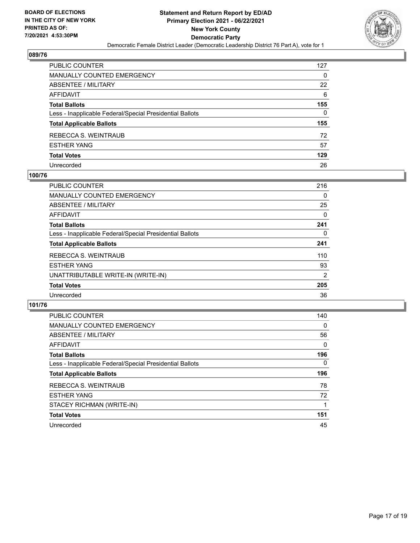

| PUBLIC COUNTER                                           | 127      |
|----------------------------------------------------------|----------|
| <b>MANUALLY COUNTED EMERGENCY</b>                        | $\Omega$ |
| ABSENTEE / MILITARY                                      | 22       |
| AFFIDAVIT                                                | 6        |
| <b>Total Ballots</b>                                     | 155      |
| Less - Inapplicable Federal/Special Presidential Ballots | 0        |
| <b>Total Applicable Ballots</b>                          | 155      |
| REBECCA S. WEINTRAUB                                     | 72       |
| <b>ESTHER YANG</b>                                       | 57       |
| <b>Total Votes</b>                                       | 129      |
| Unrecorded                                               | 26       |

## **100/76**

| <b>PUBLIC COUNTER</b>                                    | 216 |
|----------------------------------------------------------|-----|
| MANUALLY COUNTED EMERGENCY                               | 0   |
| ABSENTEE / MILITARY                                      | 25  |
| AFFIDAVIT                                                | 0   |
| <b>Total Ballots</b>                                     | 241 |
| Less - Inapplicable Federal/Special Presidential Ballots | 0   |
| <b>Total Applicable Ballots</b>                          | 241 |
| REBECCA S. WEINTRAUB                                     | 110 |
| <b>ESTHER YANG</b>                                       | 93  |
| UNATTRIBUTABLE WRITE-IN (WRITE-IN)                       | 2   |
| <b>Total Votes</b>                                       | 205 |
| Unrecorded                                               | 36  |

| <b>PUBLIC COUNTER</b>                                    | 140      |
|----------------------------------------------------------|----------|
| <b>MANUALLY COUNTED EMERGENCY</b>                        | $\Omega$ |
| ABSENTEE / MILITARY                                      | 56       |
| <b>AFFIDAVIT</b>                                         | $\Omega$ |
| <b>Total Ballots</b>                                     | 196      |
| Less - Inapplicable Federal/Special Presidential Ballots | $\Omega$ |
| <b>Total Applicable Ballots</b>                          | 196      |
| REBECCA S. WEINTRAUB                                     | 78       |
| <b>ESTHER YANG</b>                                       | 72       |
| STACEY RICHMAN (WRITE-IN)                                |          |
| <b>Total Votes</b>                                       | 151      |
| Unrecorded                                               | 45       |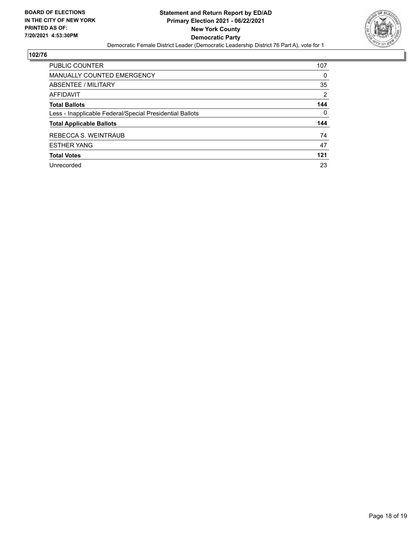

| <b>PUBLIC COUNTER</b>                                    | 107      |
|----------------------------------------------------------|----------|
| <b>MANUALLY COUNTED EMERGENCY</b>                        | $\Omega$ |
| ABSENTEE / MILITARY                                      | 35       |
| AFFIDAVIT                                                | 2        |
| <b>Total Ballots</b>                                     | 144      |
| Less - Inapplicable Federal/Special Presidential Ballots | $\Omega$ |
| <b>Total Applicable Ballots</b>                          | 144      |
| REBECCA S. WEINTRAUB                                     | 74       |
| <b>ESTHER YANG</b>                                       | 47       |
| <b>Total Votes</b>                                       | 121      |
| Unrecorded                                               | 23       |